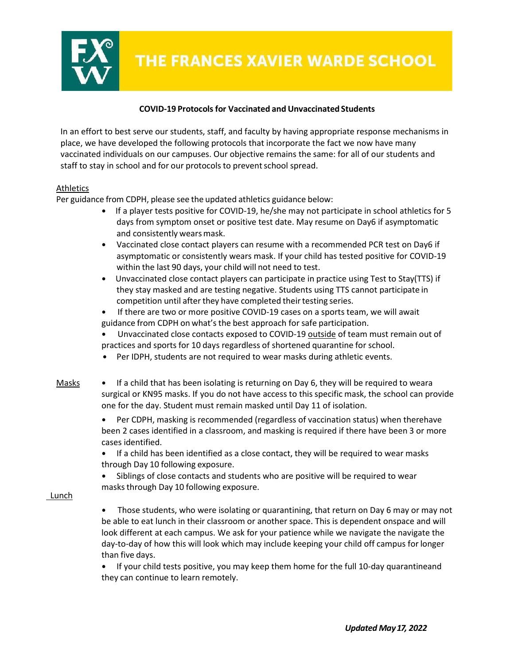

# **COVID-19 Protocolsfor Vaccinated and Unvaccinated Students**

In an effort to best serve our students, staff, and faculty by having appropriate response mechanisms in place, we have developed the following protocols that incorporate the fact we now have many vaccinated individuals on our campuses. Our objective remains the same: for all of our students and staff to stay in school and for our protocols to prevent school spread.

### Athletics

Per guidance from CDPH, please see the updated athletics guidance below:

- If a player tests positive for COVID-19, he/she may not participate in school athletics for 5 days from symptom onset or positive test date. May resume on Day6 if asymptomatic and consistently wears mask.
- Vaccinated close contact players can resume with a recommended PCR test on Day6 if asymptomatic or consistently wears mask. If your child has tested positive for COVID-19 within the last 90 days, your child will not need to test.
- Unvaccinated close contact players can participate in practice using Test to Stay(TTS) if they stay masked and are testing negative. Students using TTS cannot participate in competition until after they have completed their testing series.
- If there are two or more positive COVID-19 cases on a sports team, we will await guidance from CDPH on what's the best approach for safe participation.
- Unvaccinated close contacts exposed to COVID-19 outside of team must remain out of practices and sports for 10 days regardless of shortened quarantine for school.
- Per IDPH, students are not required to wear masks during athletic events.
- Masks If a child that has been isolating is returning on Day 6, they will be required to weara surgical or KN95 masks. If you do not have access to this specific mask, the school can provide one for the day. Student must remain masked until Day 11 of isolation.
	- Per CDPH, masking is recommended (regardless of vaccination status) when therehave been 2 cases identified in a classroom, and masking is required if there have been 3 or more cases identified.
	- If a child has been identified as a close contact, they will be required to wear masks through Day 10 following exposure.
	- Siblings of close contacts and students who are positive will be required to wear masks through Day 10 following exposure.
- Lunch
- Those students, who were isolating or quarantining, that return on Day 6 may or may not be able to eat lunch in their classroom or another space. This is dependent onspace and will look different at each campus. We ask for your patience while we navigate the navigate the day-to-day of how this will look which may include keeping your child off campus forlonger than five days.
- If your child tests positive, you may keep them home for the full 10-day quarantineand they can continue to learn remotely.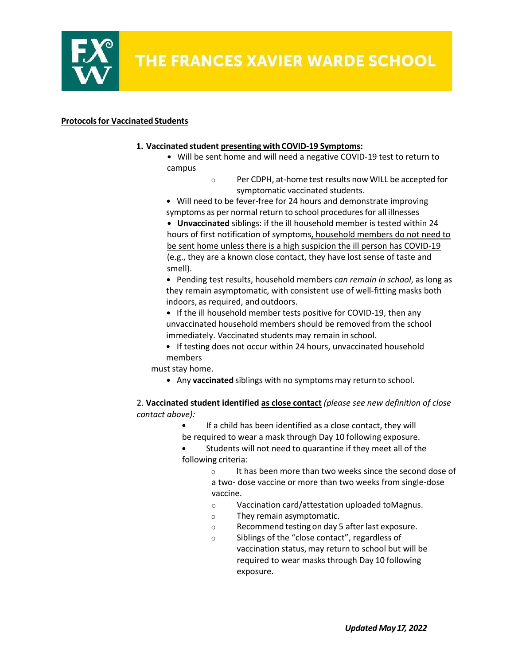

#### **Protocolsfor Vaccinated Students**

#### **1. Vaccinated student presenting with COVID-19 Symptoms:**

- Will be sent home and will need a negative COVID-19 test to return to campus
	- o Per CDPH, at-home test results now WILL be accepted for symptomatic vaccinated students.

• Will need to be fever-free for 24 hours and demonstrate improving symptoms as per normal return to school procedures for all illnesses

• **Unvaccinated** siblings: if the ill household member is tested within 24 hours of first notification of symptoms, household members do not need to be sent home unless there is a high suspicion the ill person has COVID-19 (e.g., they are a known close contact, they have lost sense of taste and smell).

• Pending test results, household members *can remain in school*, as long as they remain asymptomatic, with consistent use of well-fitting masks both indoors, as required, and outdoors.

• If the ill household member tests positive for COVID-19, then any unvaccinated household members should be removed from the school immediately. Vaccinated students may remain in school.

• If testing does not occur within 24 hours, unvaccinated household members

must stay home.

• Any **vaccinated** siblings with no symptoms may returnto school.

2. **Vaccinated student identified as close contact** *(please see new definition of close contact above):*

If a child has been identified as a close contact, they will be required to wear a mask through Day 10 following exposure.

Students will not need to quarantine if they meet all of the following criteria:

o It has been more than two weeks since the second dose of

a two- dose vaccine or more than two weeks from single-dose vaccine.

- o Vaccination card/attestation uploaded toMagnus.
- o They remain asymptomatic.
- o Recommend testing on day 5 after last exposure.
- o Siblings of the "close contact", regardless of vaccination status, may return to school but will be required to wear masks through Day 10 following exposure.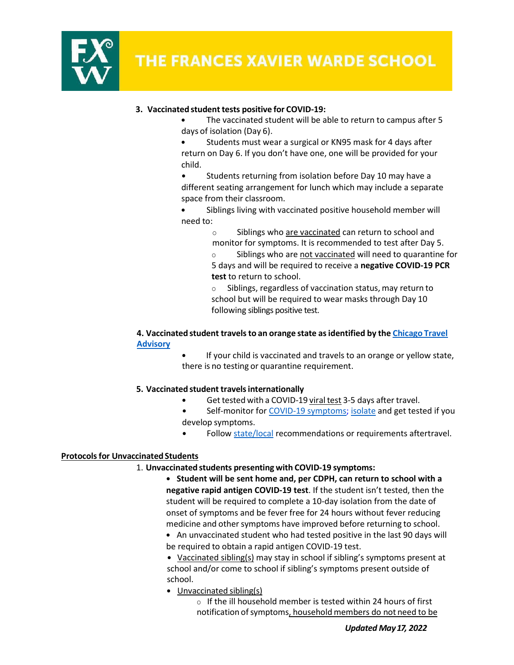

# **3. Vaccinated student tests positive for COVID-19:**

- The vaccinated student will be able to return to campus after 5 days of isolation (Day 6).
- Students must wear a surgical or KN95 mask for 4 days after return on Day 6. If you don't have one, one will be provided for your child.

Students returning from isolation before Day 10 may have a different seating arrangement for lunch which may include a separate space from their classroom.

Siblings living with vaccinated positive household member will need to:

> o Siblings who are vaccinated can return to school and monitor for symptoms. It is recommended to test after Day 5.

o Siblings who are not vaccinated will need to quarantine for 5 days and will be required to receive a **negative COVID-19 PCR test** to return to school.

o Siblings, regardless of vaccination status, may return to school but will be required to wear masks through Day 10 following siblings positive test.

### **4. Vaccinated student travelsto an orange state asidentified by the Chicago Travel Advisory**

If your child is vaccinated and travels to an orange or yellow state, there is no testing or quarantine requirement.

### **5. Vaccinated student travelsinternationally**

- Get tested with a COVID-19 viral test 3-5 days after travel.
- Self-monitor for COVID-19 symptoms; isolate and get tested if you develop symptoms.
- Follow state/local recommendations or requirements aftertravel.

### **Protocols for Unvaccinated Students**

#### 1. **Unvaccinated students presenting with COVID-19 symptoms:**

• **Student will be sent home and, per CDPH, can return to school with a negative rapid antigen COVID-19 test**. If the student isn't tested, then the student will be required to complete a 10-day isolation from the date of onset of symptoms and be fever free for 24 hours without fever reducing medicine and other symptoms have improved before returning to school.

• An unvaccinated student who had tested positive in the last 90 days will be required to obtain a rapid antigen COVID-19 test.

• Vaccinated sibling(s) may stay in school if sibling's symptoms present at school and/or come to school if sibling's symptoms present outside of school.

• Unvaccinated sibling(s)

o If the ill household member is tested within 24 hours of first notification of symptoms, household members do not need to be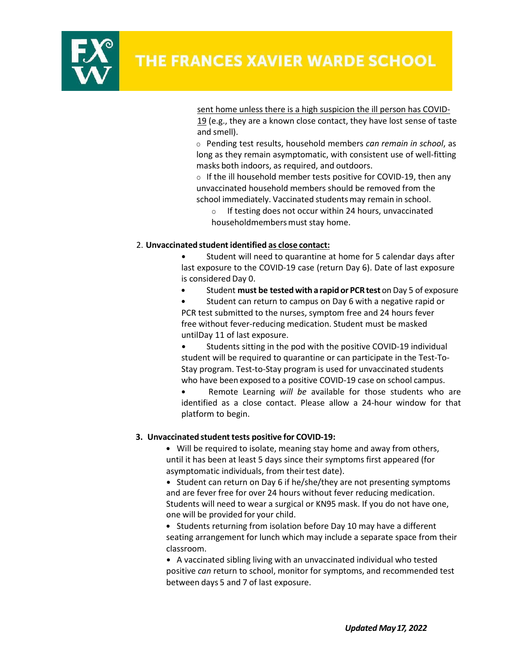

sent home unless there is a high suspicion the ill person has COVID-19 (e.g., they are a known close contact, they have lost sense of taste and smell).

o Pending test results, household members *can remain in school*, as long as they remain asymptomatic, with consistent use of well-fitting masks both indoors, as required, and outdoors.

o If the ill household member tests positive for COVID-19, then any unvaccinated household members should be removed from the school immediately. Vaccinated students may remain in school.

If testing does not occur within 24 hours, unvaccinated householdmembers must stay home.

#### 2. **Unvaccinated student identified as close contact:**

Student will need to quarantine at home for 5 calendar days after last exposure to the COVID-19 case (return Day 6). Date of last exposure is considered Day 0.

• Student **must be tested with a rapid or PCRtest** onDay 5 of exposure

• Student can return to campus on Day 6 with a negative rapid or PCR test submitted to the nurses, symptom free and 24 hours fever free without fever-reducing medication. Student must be masked untilDay 11 of last exposure.

• Students sitting in the pod with the positive COVID-19 individual student will be required to quarantine or can participate in the Test-To-Stay program. Test-to-Stay program is used for unvaccinated students who have been exposed to a positive COVID-19 case on school campus.

• Remote Learning *will be* available for those students who are identified as a close contact. Please allow a 24-hour window for that platform to begin.

### **3. Unvaccinated student tests positive for COVID-19:**

• Will be required to isolate, meaning stay home and away from others, until it has been at least 5 days since their symptoms first appeared (for asymptomatic individuals, from their test date).

• Student can return on Day 6 if he/she/they are not presenting symptoms and are fever free for over 24 hours without fever reducing medication. Students will need to wear a surgical or KN95 mask. If you do not have one, one will be provided for your child.

• Students returning from isolation before Day 10 may have a different seating arrangement for lunch which may include a separate space from their classroom.

• A vaccinated sibling living with an unvaccinated individual who tested positive *can* return to school, monitor for symptoms, and recommended test between days 5 and 7 of last exposure.